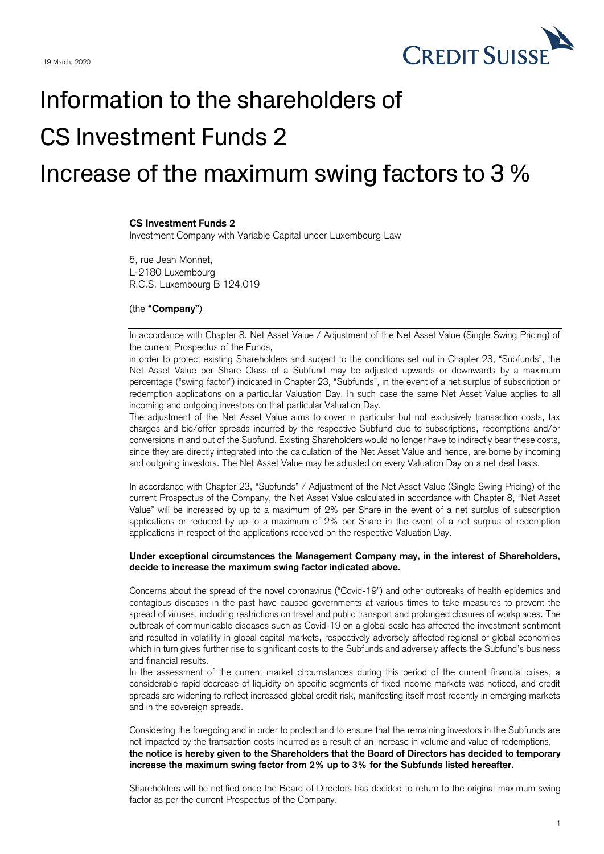

## Information to the shareholders of CS Investment Funds 2 Increase of the maximum swing factors to 3 %

## **CS Investment Funds 2**

Investment Company with Variable Capital under Luxembourg Law

5, rue Jean Monnet, L-2180 Luxembourg R.C.S. Luxembourg B 124.019

## (the **"Company"**)

In accordance with Chapter 8. Net Asset Value / Adjustment of the Net Asset Value (Single Swing Pricing) of the current Prospectus of the Funds,

in order to protect existing Shareholders and subject to the conditions set out in Chapter 23, "Subfunds", the Net Asset Value per Share Class of a Subfund may be adjusted upwards or downwards by a maximum percentage ("swing factor") indicated in Chapter 23, "Subfunds", in the event of a net surplus of subscription or redemption applications on a particular Valuation Day. In such case the same Net Asset Value applies to all incoming and outgoing investors on that particular Valuation Day.

The adjustment of the Net Asset Value aims to cover in particular but not exclusively transaction costs, tax charges and bid/offer spreads incurred by the respective Subfund due to subscriptions, redemptions and/or conversions in and out of the Subfund. Existing Shareholders would no longer have to indirectly bear these costs, since they are directly integrated into the calculation of the Net Asset Value and hence, are borne by incoming and outgoing investors. The Net Asset Value may be adjusted on every Valuation Day on a net deal basis.

In accordance with Chapter 23, "Subfunds" / Adjustment of the Net Asset Value (Single Swing Pricing) of the current Prospectus of the Company, the Net Asset Value calculated in accordance with Chapter 8, "Net Asset Value" will be increased by up to a maximum of 2% per Share in the event of a net surplus of subscription applications or reduced by up to a maximum of 2% per Share in the event of a net surplus of redemption applications in respect of the applications received on the respective Valuation Day.

## **Under exceptional circumstances the Management Company may, in the interest of Shareholders, decide to increase the maximum swing factor indicated above.**

Concerns about the spread of the novel coronavirus ("Covid-19") and other outbreaks of health epidemics and contagious diseases in the past have caused governments at various times to take measures to prevent the spread of viruses, including restrictions on travel and public transport and prolonged closures of workplaces. The outbreak of communicable diseases such as Covid-19 on a global scale has affected the investment sentiment and resulted in volatility in global capital markets, respectively adversely affected regional or global economies which in turn gives further rise to significant costs to the Subfunds and adversely affects the Subfund's business and financial results.

In the assessment of the current market circumstances during this period of the current financial crises, a considerable rapid decrease of liquidity on specific segments of fixed income markets was noticed, and credit spreads are widening to reflect increased global credit risk, manifesting itself most recently in emerging markets and in the sovereign spreads.

Considering the foregoing and in order to protect and to ensure that the remaining investors in the Subfunds are not impacted by the transaction costs incurred as a result of an increase in volume and value of redemptions, **the notice is hereby given to the Shareholders that the Board of Directors has decided to temporary increase the maximum swing factor from 2% up to 3% for the Subfunds listed hereafter.**

Shareholders will be notified once the Board of Directors has decided to return to the original maximum swing factor as per the current Prospectus of the Company.